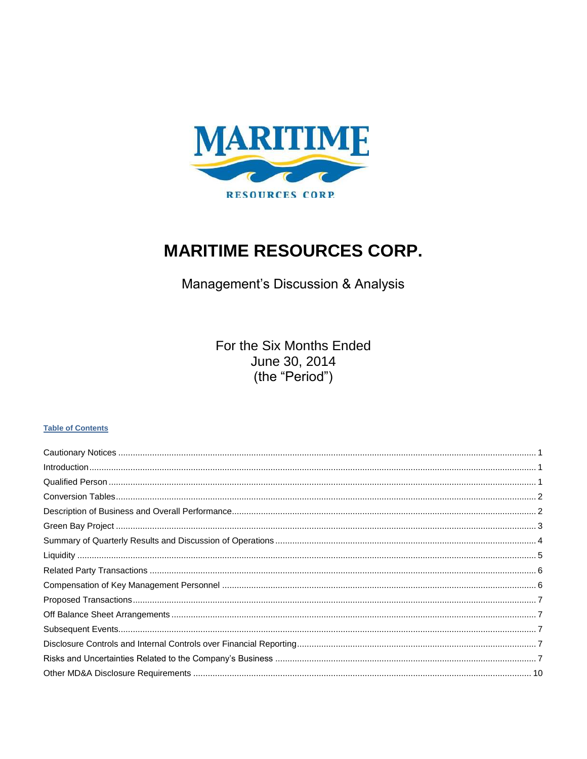

# **MARITIME RESOURCES CORP.**

Management's Discussion & Analysis

For the Six Months Ended June 30, 2014 (the "Period")

## **Table of Contents**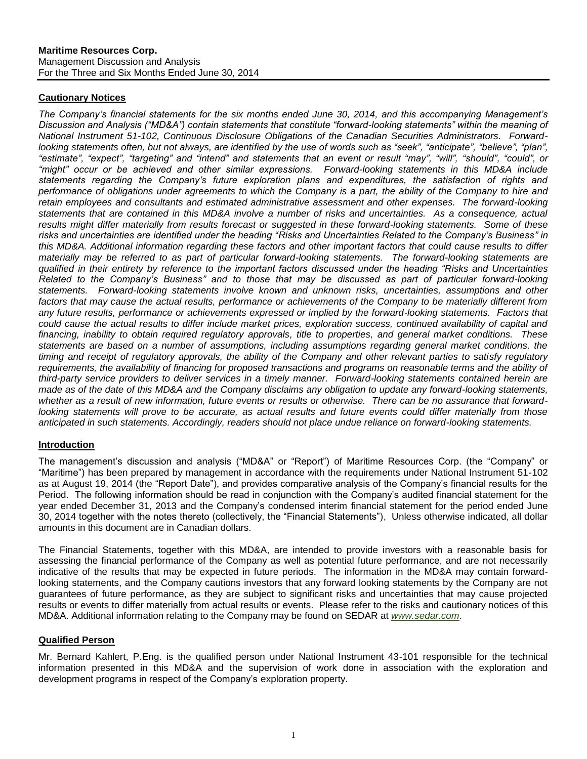# <span id="page-1-0"></span>**Cautionary Notices**

*The Company's financial statements for the six months ended June 30, 2014, and this accompanying Management's Discussion and Analysis ("MD&A") contain statements that constitute "forward-looking statements" within the meaning of National Instrument 51-102, Continuous Disclosure Obligations of the Canadian Securities Administrators. Forwardlooking statements often, but not always, are identified by the use of words such as "seek", "anticipate", "believe", "plan", "estimate", "expect", "targeting" and "intend" and statements that an event or result "may", "will", "should", "could", or "might" occur or be achieved and other similar expressions. Forward-looking statements in this MD&A include statements regarding the Company's future exploration plans and expenditures, the satisfaction of rights and performance of obligations under agreements to which the Company is a part, the ability of the Company to hire and retain employees and consultants and estimated administrative assessment and other expenses. The forward-looking statements that are contained in this MD&A involve a number of risks and uncertainties. As a consequence, actual*  results might differ materially from results forecast or suggested in these forward-looking statements. Some of these *risks and uncertainties are identified under the heading "Risks and Uncertainties Related to the Company's Business" in this MD&A. Additional information regarding these factors and other important factors that could cause results to differ materially may be referred to as part of particular forward-looking statements. The forward-looking statements are qualified in their entirety by reference to the important factors discussed under the heading "Risks and Uncertainties Related to the Company's Business" and to those that may be discussed as part of particular forward-looking statements. Forward-looking statements involve known and unknown risks, uncertainties, assumptions and other*  factors that may cause the actual results, performance or achievements of the Company to be materially different from any future results, performance or achievements expressed or implied by the forward-looking statements. Factors that *could cause the actual results to differ include market prices, exploration success, continued availability of capital and financing, inability to obtain required regulatory approvals, title to properties, and general market conditions. These statements are based on a number of assumptions, including assumptions regarding general market conditions, the timing and receipt of regulatory approvals, the ability of the Company and other relevant parties to satisfy regulatory*  requirements, the availability of financing for proposed transactions and programs on reasonable terms and the ability of *third-party service providers to deliver services in a timely manner. Forward-looking statements contained herein are made as of the date of this MD&A and the Company disclaims any obligation to update any forward-looking statements, whether as a result of new information, future events or results or otherwise. There can be no assurance that forward*looking statements will prove to be accurate, as actual results and future events could differ materially from those *anticipated in such statements. Accordingly, readers should not place undue reliance on forward-looking statements.*

#### <span id="page-1-1"></span>**Introduction**

The management's discussion and analysis ("MD&A" or "Report") of Maritime Resources Corp. (the "Company" or "Maritime") has been prepared by management in accordance with the requirements under National Instrument 51-102 as at August 19, 2014 (the "Report Date"), and provides comparative analysis of the Company's financial results for the Period. The following information should be read in conjunction with the Company's audited financial statement for the year ended December 31, 2013 and the Company's condensed interim financial statement for the period ended June 30, 2014 together with the notes thereto (collectively, the "Financial Statements"), Unless otherwise indicated, all dollar amounts in this document are in Canadian dollars.

The Financial Statements, together with this MD&A, are intended to provide investors with a reasonable basis for assessing the financial performance of the Company as well as potential future performance, and are not necessarily indicative of the results that may be expected in future periods. The information in the MD&A may contain forwardlooking statements, and the Company cautions investors that any forward looking statements by the Company are not guarantees of future performance, as they are subject to significant risks and uncertainties that may cause projected results or events to differ materially from actual results or events. Please refer to the risks and cautionary notices of this MD&A. Additional information relating to the Company may be found on SEDAR at *[www.sedar.com](http://www.sedar.com/)*.

#### <span id="page-1-2"></span>**Qualified Person**

Mr. Bernard Kahlert, P.Eng. is the qualified person under National Instrument 43-101 responsible for the technical information presented in this MD&A and the supervision of work done in association with the exploration and development programs in respect of the Company's exploration property.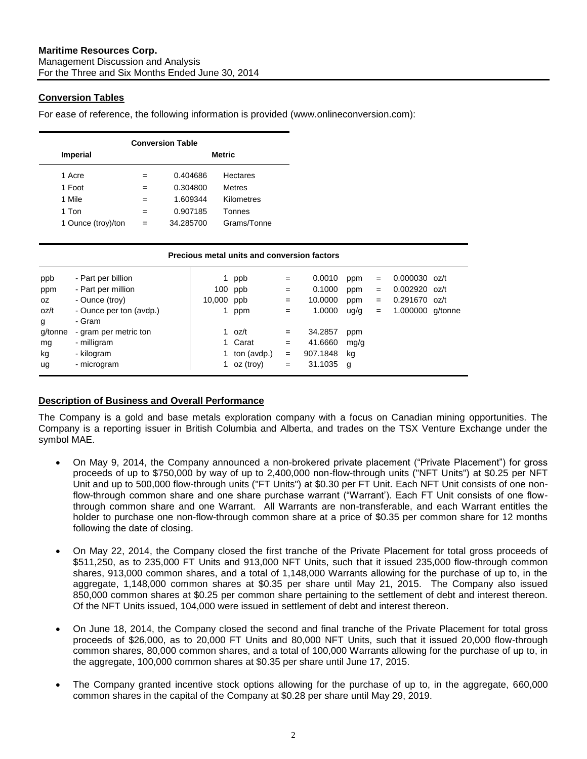# <span id="page-2-0"></span>**Conversion Tables**

For ease of reference, the following information is provided (www.onlineconversion.com):

| <b>Conversion Table</b> |               |           |               |  |  |  |  |  |  |
|-------------------------|---------------|-----------|---------------|--|--|--|--|--|--|
| <b>Imperial</b>         | <b>Metric</b> |           |               |  |  |  |  |  |  |
| 1 Acre                  | $=$           | 0.404686  | Hectares      |  |  |  |  |  |  |
| 1 Foot                  | =             | 0.304800  | <b>Metres</b> |  |  |  |  |  |  |
| 1 Mile                  | $=$           | 1.609344  | Kilometres    |  |  |  |  |  |  |
| 1 Ton                   | $=$           | 0.907185  | Tonnes        |  |  |  |  |  |  |
| 1 Ounce (troy)/ton      | $=$           | 34.285700 | Grams/Tonne   |  |  |  |  |  |  |

|         | Precious metal units and conversion factors |        |             |                   |          |      |     |                  |  |  |  |
|---------|---------------------------------------------|--------|-------------|-------------------|----------|------|-----|------------------|--|--|--|
| ppb     | - Part per billion                          |        | ppb         | $=$               | 0.0010   | ppm  | $=$ | $0.000030$ oz/t  |  |  |  |
| ppm     | - Part per million                          |        | 100 ppb     | $=$               | 0.1000   | ppm  | $=$ | $0.002920$ oz/t  |  |  |  |
| 0Z      | - Ounce (troy)                              | 10,000 | ppb         | $\qquad \qquad =$ | 10.0000  | ppm  | $=$ | $0.291670$ oz/t  |  |  |  |
| oz/t    | - Ounce per ton (avdp.)                     |        | ppm         | $=$               | 1.0000   | ug/g | $=$ | 1.000000 g/tonne |  |  |  |
| g       | - Gram                                      |        |             |                   |          |      |     |                  |  |  |  |
| g/tonne | - gram per metric ton                       |        | 1 oz/t      | $=$               | 34.2857  | ppm  |     |                  |  |  |  |
| mg      | - milligram                                 |        | 1 Carat     | $=$               | 41.6660  | mg/g |     |                  |  |  |  |
| kg      | - kilogram                                  |        | ton (avdp.) | $=$               | 907.1848 | kg   |     |                  |  |  |  |
| ug      | - microgram                                 |        | oz (troy)   | $=$               | 31.1035  | q    |     |                  |  |  |  |

### <span id="page-2-1"></span>**Description of Business and Overall Performance**

The Company is a gold and base metals exploration company with a focus on Canadian mining opportunities. The Company is a reporting issuer in British Columbia and Alberta, and trades on the TSX Venture Exchange under the symbol MAE.

- On May 9, 2014, the Company announced a non-brokered private placement ("Private Placement") for gross proceeds of up to \$750,000 by way of up to 2,400,000 non-flow-through units ("NFT Units") at \$0.25 per NFT Unit and up to 500,000 flow-through units ("FT Units") at \$0.30 per FT Unit. Each NFT Unit consists of one nonflow-through common share and one share purchase warrant ("Warrant'). Each FT Unit consists of one flowthrough common share and one Warrant. All Warrants are non-transferable, and each Warrant entitles the holder to purchase one non-flow-through common share at a price of \$0.35 per common share for 12 months following the date of closing.
- On May 22, 2014, the Company closed the first tranche of the Private Placement for total gross proceeds of \$511,250, as to 235,000 FT Units and 913,000 NFT Units, such that it issued 235,000 flow-through common shares, 913,000 common shares, and a total of 1,148,000 Warrants allowing for the purchase of up to, in the aggregate, 1,148,000 common shares at \$0.35 per share until May 21, 2015. The Company also issued 850,000 common shares at \$0.25 per common share pertaining to the settlement of debt and interest thereon. Of the NFT Units issued, 104,000 were issued in settlement of debt and interest thereon.
- On June 18, 2014, the Company closed the second and final tranche of the Private Placement for total gross proceeds of \$26,000, as to 20,000 FT Units and 80,000 NFT Units, such that it issued 20,000 flow-through common shares, 80,000 common shares, and a total of 100,000 Warrants allowing for the purchase of up to, in the aggregate, 100,000 common shares at \$0.35 per share until June 17, 2015.
- The Company granted incentive stock options allowing for the purchase of up to, in the aggregate, 660,000 common shares in the capital of the Company at \$0.28 per share until May 29, 2019.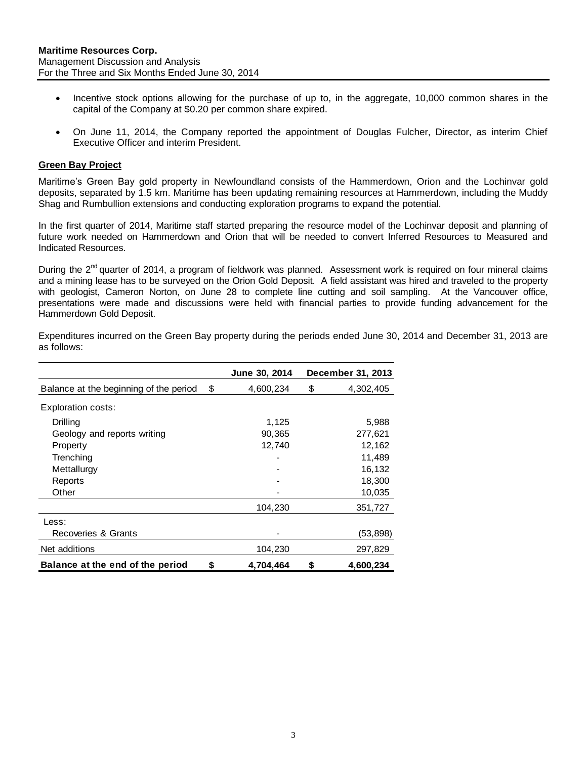- Incentive stock options allowing for the purchase of up to, in the aggregate, 10,000 common shares in the capital of the Company at \$0.20 per common share expired.
- On June 11, 2014, the Company reported the appointment of Douglas Fulcher, Director, as interim Chief Executive Officer and interim President.

### <span id="page-3-0"></span>**Green Bay Project**

Maritime's Green Bay gold property in Newfoundland consists of the Hammerdown, Orion and the Lochinvar gold deposits, separated by 1.5 km. Maritime has been updating remaining resources at Hammerdown, including the Muddy Shag and Rumbullion extensions and conducting exploration programs to expand the potential.

In the first quarter of 2014, Maritime staff started preparing the resource model of the Lochinvar deposit and planning of future work needed on Hammerdown and Orion that will be needed to convert Inferred Resources to Measured and Indicated Resources.

During the 2<sup>nd</sup> quarter of 2014, a program of fieldwork was planned. Assessment work is required on four mineral claims and a mining lease has to be surveyed on the Orion Gold Deposit. A field assistant was hired and traveled to the property with geologist, Cameron Norton, on June 28 to complete line cutting and soil sampling. At the Vancouver office, presentations were made and discussions were held with financial parties to provide funding advancement for the Hammerdown Gold Deposit.

<span id="page-3-1"></span>

|                                        |    | June 30, 2014 |    | December 31, 2013 |
|----------------------------------------|----|---------------|----|-------------------|
| Balance at the beginning of the period | \$ | 4,600,234     | \$ | 4,302,405         |
| Exploration costs:                     |    |               |    |                   |
| Drilling                               |    | 1,125         |    | 5,988             |
| Geology and reports writing            |    | 90,365        |    | 277,621           |
| Property                               |    | 12,740        |    | 12,162            |
| Trenching                              |    |               |    | 11,489            |
| Mettallurgy                            |    |               |    | 16,132            |
| Reports                                |    |               |    | 18,300            |
| Other                                  |    |               |    | 10,035            |
|                                        |    | 104,230       |    | 351,727           |
| Less:                                  |    |               |    |                   |
| Recoveries & Grants                    |    |               |    | (53,898)          |
| Net additions                          |    | 104,230       |    | 297,829           |
| Balance at the end of the period       | S  | 4.704.464     | S  | 4,600,234         |

Expenditures incurred on the Green Bay property during the periods ended June 30, 2014 and December 31, 2013 are as follows: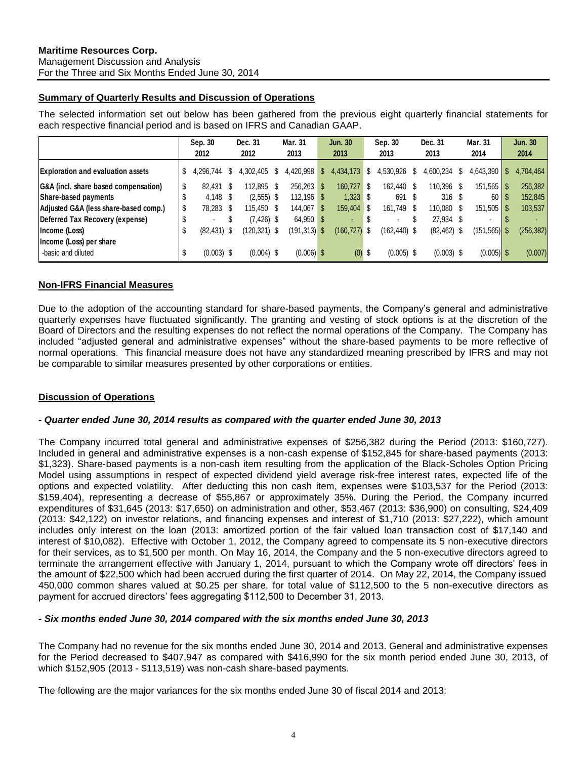# **Summary of Quarterly Results and Discussion of Operations**

The selected information set out below has been gathered from the previous eight quarterly financial statements for each respective financial period and is based on IFRS and Canadian GAAP.

|                                          |    | Sep. 30<br>2012 |    | Dec. 31<br>2012 | Mar. 31<br>2013 |   | <b>Jun. 30</b><br>2013 |    | Sep. 30<br>2013 |      | Dec. 31<br>2013  |   | Mar. 31<br>2014    | <b>Jun. 30</b><br>2014 |
|------------------------------------------|----|-----------------|----|-----------------|-----------------|---|------------------------|----|-----------------|------|------------------|---|--------------------|------------------------|
| <b>Exploration and evaluation assets</b> | \$ | 4,296,744       |    | 4.302.405 \$    | 4.420.998       | S | 4,434,173              | -S | 4,530,926       | S    | 4,600,234        | S | $4,643,390$ \ \ \$ | 4,704,464              |
| G&A (incl. share based compensation)     | S  | 82.431          | -S | 112.895 \$      | 256.263         | S | 160.727 \$             |    | 162.440         | - \$ | 110.396 \$       |   | $151,565$   \$     | 256,382                |
| Share-based payments                     |    | $4.148$ \$      |    | $(2,555)$ \$    | $112.196$ \$    |   | $1,323$ \$             |    | 691             | - \$ | 316 <sup>°</sup> |   | 60   \$            | 152,845                |
| Adjusted G&A (less share-based comp.)    |    | 78,283          |    | 115.450 \$      | 144,067         |   | 159,404 \$             |    | 161.749         | - \$ | 110,080 \$       |   | $151,505$   \$     | 103,537                |
| Deferred Tax Recovery (expense)          |    |                 |    | $(7, 426)$ \$   | 64,950 \$       |   |                        |    | . .             |      | 27.934 \$        |   | ۰                  |                        |
| Income (Loss)                            |    | $(82, 431)$ \$  |    | $(120.321)$ \$  | $(191, 313)$ \$ |   | $(160, 727)$ \$        |    | $(162, 440)$ \$ |      | $(82, 462)$ \$   |   | $(151, 565)$ \$    | (256, 382)             |
| Income (Loss) per share                  |    |                 |    |                 |                 |   |                        |    |                 |      |                  |   |                    |                        |
| -basic and diluted                       |    | $(0.003)$ \$    |    | $(0.004)$ \$    | $(0.006)$ \$    |   | $(0)$ \$               |    | $(0.005)$ \$    |      | $(0.003)$ \$     |   | $(0.005)$ \$       | (0.007)                |

# **Non-IFRS Financial Measures**

Due to the adoption of the accounting standard for share-based payments, the Company's general and administrative quarterly expenses have fluctuated significantly. The granting and vesting of stock options is at the discretion of the Board of Directors and the resulting expenses do not reflect the normal operations of the Company. The Company has included "adjusted general and administrative expenses" without the share-based payments to be more reflective of normal operations. This financial measure does not have any standardized meaning prescribed by IFRS and may not be comparable to similar measures presented by other corporations or entities.

#### **Discussion of Operations**

#### *- Quarter ended June 30, 2014 results as compared with the quarter ended June 30, 2013*

The Company incurred total general and administrative expenses of \$256,382 during the Period (2013: \$160,727). Included in general and administrative expenses is a non-cash expense of \$152,845 for share-based payments (2013: \$1,323). Share-based payments is a non-cash item resulting from the application of the Black-Scholes Option Pricing Model using assumptions in respect of expected dividend yield average risk-free interest rates, expected life of the options and expected volatility. After deducting this non cash item, expenses were \$103,537 for the Period (2013: \$159,404), representing a decrease of \$55,867 or approximately 35%. During the Period, the Company incurred expenditures of \$31,645 (2013: \$17,650) on administration and other, \$53,467 (2013: \$36,900) on consulting, \$24,409 (2013: \$42,122) on investor relations, and financing expenses and interest of \$1,710 (2013: \$27,222), which amount includes only interest on the loan (2013: amortized portion of the fair valued loan transaction cost of \$17,140 and interest of \$10,082). Effective with October 1, 2012, the Company agreed to compensate its 5 non-executive directors for their services, as to \$1,500 per month. On May 16, 2014, the Company and the 5 non-executive directors agreed to terminate the arrangement effective with January 1, 2014, pursuant to which the Company wrote off directors' fees in the amount of \$22,500 which had been accrued during the first quarter of 2014. On May 22, 2014, the Company issued 450,000 common shares valued at \$0.25 per share, for total value of \$112,500 to the 5 non-executive directors as payment for accrued directors' fees aggregating \$112,500 to December 31, 2013.

#### *- Six months ended June 30, 2014 compared with the six months ended June 30, 2013*

The Company had no revenue for the six months ended June 30, 2014 and 2013. General and administrative expenses for the Period decreased to \$407,947 as compared with \$416,990 for the six month period ended June 30, 2013, of which \$152,905 (2013 - \$113,519) was non-cash share-based payments.

The following are the major variances for the six months ended June 30 of fiscal 2014 and 2013: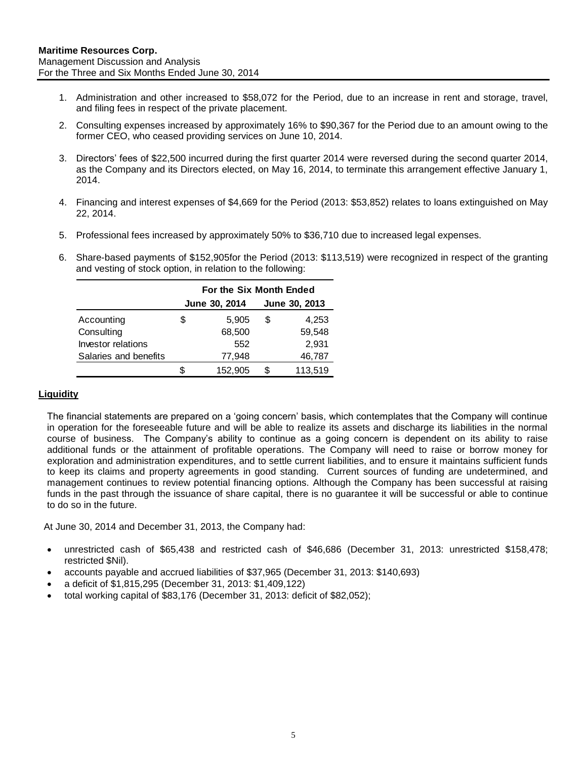- 1. Administration and other increased to \$58,072 for the Period, due to an increase in rent and storage, travel, and filing fees in respect of the private placement.
- 2. Consulting expenses increased by approximately 16% to \$90,367 for the Period due to an amount owing to the former CEO, who ceased providing services on June 10, 2014.
- 3. Directors' fees of \$22,500 incurred during the first quarter 2014 were reversed during the second quarter 2014, as the Company and its Directors elected, on May 16, 2014, to terminate this arrangement effective January 1, 2014.
- 4. Financing and interest expenses of \$4,669 for the Period (2013: \$53,852) relates to loans extinguished on May 22, 2014.
- 5. Professional fees increased by approximately 50% to \$36,710 due to increased legal expenses.
- 6. Share-based payments of \$152,905for the Period (2013: \$113,519) were recognized in respect of the granting and vesting of stock option, in relation to the following:

|                       | For the Six Month Ended |               |    |         |  |  |  |  |
|-----------------------|-------------------------|---------------|----|---------|--|--|--|--|
|                       | June 30, 2014           | June 30, 2013 |    |         |  |  |  |  |
| Accounting            | \$                      | 5,905         | \$ | 4,253   |  |  |  |  |
| Consulting            |                         | 68,500        |    | 59,548  |  |  |  |  |
| Investor relations    |                         | 552           |    | 2,931   |  |  |  |  |
| Salaries and benefits |                         | 77,948        |    | 46,787  |  |  |  |  |
|                       | S                       | 152,905       |    | 113,519 |  |  |  |  |

# <span id="page-5-0"></span>**Liquidity**

The financial statements are prepared on a 'going concern' basis, which contemplates that the Company will continue in operation for the foreseeable future and will be able to realize its assets and discharge its liabilities in the normal course of business. The Company's ability to continue as a going concern is dependent on its ability to raise additional funds or the attainment of profitable operations. The Company will need to raise or borrow money for exploration and administration expenditures, and to settle current liabilities, and to ensure it maintains sufficient funds to keep its claims and property agreements in good standing. Current sources of funding are undetermined, and management continues to review potential financing options. Although the Company has been successful at raising funds in the past through the issuance of share capital, there is no guarantee it will be successful or able to continue to do so in the future.

At June 30, 2014 and December 31, 2013, the Company had:

- unrestricted cash of \$65,438 and restricted cash of \$46,686 (December 31, 2013: unrestricted \$158,478; restricted \$Nil).
- accounts payable and accrued liabilities of \$37,965 (December 31, 2013: \$140,693)
- a deficit of \$1,815,295 (December 31, 2013: \$1,409,122)
- <span id="page-5-1"></span>total working capital of \$83,176 (December 31, 2013: deficit of \$82,052);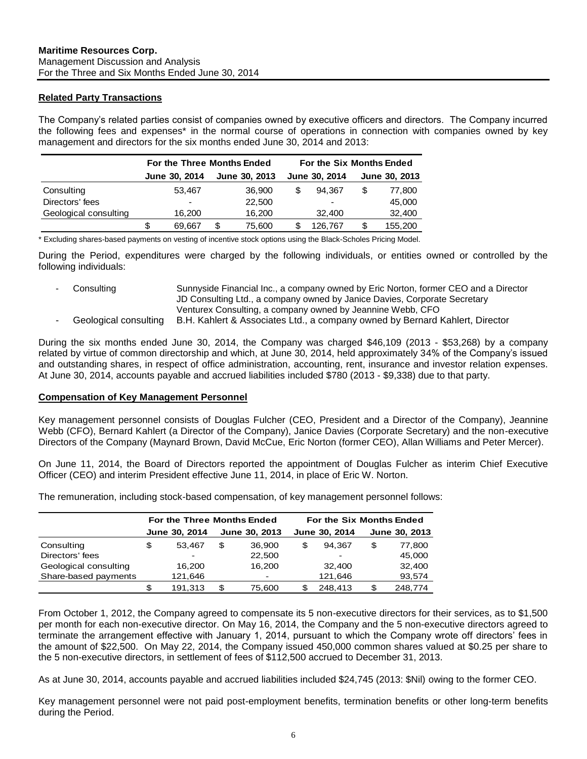## **Related Party Transactions**

The Company's related parties consist of companies owned by executive officers and directors. The Company incurred the following fees and expenses\* in the normal course of operations in connection with companies owned by key management and directors for the six months ended June 30, 2014 and 2013:

|                       |   | For the Three Months Ended |   | For the Six Months Ended |   |                          |    |               |  |
|-----------------------|---|----------------------------|---|--------------------------|---|--------------------------|----|---------------|--|
|                       |   | June 30, 2014              |   | June 30, 2013            |   | <b>June 30, 2014</b>     |    | June 30, 2013 |  |
| Consulting            |   | 53.467                     |   | 36,900                   | S | 94.367                   | \$ | 77,800        |  |
| Directors' fees       |   | $\overline{\phantom{0}}$   |   | 22,500                   |   | $\overline{\phantom{a}}$ |    | 45,000        |  |
| Geological consulting |   | 16,200                     |   | 16,200                   |   | 32,400                   |    | 32,400        |  |
|                       | S | 69.667                     | S | 75,600                   |   | 126,767                  |    | 155,200       |  |

\* Excluding shares-based payments on vesting of incentive stock options using the Black-Scholes Pricing Model.

During the Period, expenditures were charged by the following individuals, or entities owned or controlled by the following individuals:

- Consulting Sunnyside Financial Inc., a company owned by Eric Norton, former CEO and a Director JD Consulting Ltd., a company owned by Janice Davies, Corporate Secretary Venturex Consulting, a company owned by Jeannine Webb, CFO
- Geological consulting B.H. Kahlert & Associates Ltd., a company owned by Bernard Kahlert, Director

During the six months ended June 30, 2014, the Company was charged \$46,109 (2013 - \$53,268) by a company related by virtue of common directorship and which, at June 30, 2014, held approximately 34% of the Company's issued and outstanding shares, in respect of office administration, accounting, rent, insurance and investor relation expenses. At June 30, 2014, accounts payable and accrued liabilities included \$780 (2013 - \$9,338) due to that party.

#### <span id="page-6-0"></span>**Compensation of Key Management Personnel**

Key management personnel consists of Douglas Fulcher (CEO, President and a Director of the Company), Jeannine Webb (CFO), Bernard Kahlert (a Director of the Company), Janice Davies (Corporate Secretary) and the non-executive Directors of the Company (Maynard Brown, David McCue, Eric Norton (former CEO), Allan Williams and Peter Mercer).

On June 11, 2014, the Board of Directors reported the appointment of Douglas Fulcher as interim Chief Executive Officer (CEO) and interim President effective June 11, 2014, in place of Eric W. Norton.

The remuneration, including stock-based compensation, of key management personnel follows:

|                       |   | For the Three Months Ended |    |               | For the Six Months Ended |               |    |               |  |  |
|-----------------------|---|----------------------------|----|---------------|--------------------------|---------------|----|---------------|--|--|
|                       |   | June 30, 2014              |    | June 30, 2013 |                          | June 30, 2014 |    | June 30, 2013 |  |  |
| Consulting            | S | 53.467                     | \$ | 36.900        | S                        | 94.367        | S  | 77,800        |  |  |
| Directors' fees       |   |                            |    | 22,500        |                          | -             |    | 45,000        |  |  |
| Geological consulting |   | 16.200                     |    | 16.200        |                          | 32,400        |    | 32,400        |  |  |
| Share-based payments  |   | 121,646                    |    |               |                          | 121,646       |    | 93,574        |  |  |
|                       |   | 191,313                    | S  | 75,600        |                          | 248.413       | £. | 248,774       |  |  |

From October 1, 2012, the Company agreed to compensate its 5 non-executive directors for their services, as to \$1,500 per month for each non-executive director. On May 16, 2014, the Company and the 5 non-executive directors agreed to terminate the arrangement effective with January 1, 2014, pursuant to which the Company wrote off directors' fees in the amount of \$22,500. On May 22, 2014, the Company issued 450,000 common shares valued at \$0.25 per share to the 5 non-executive directors, in settlement of fees of \$112,500 accrued to December 31, 2013.

As at June 30, 2014, accounts payable and accrued liabilities included \$24,745 (2013: \$Nil) owing to the former CEO.

Key management personnel were not paid post-employment benefits, termination benefits or other long-term benefits during the Period.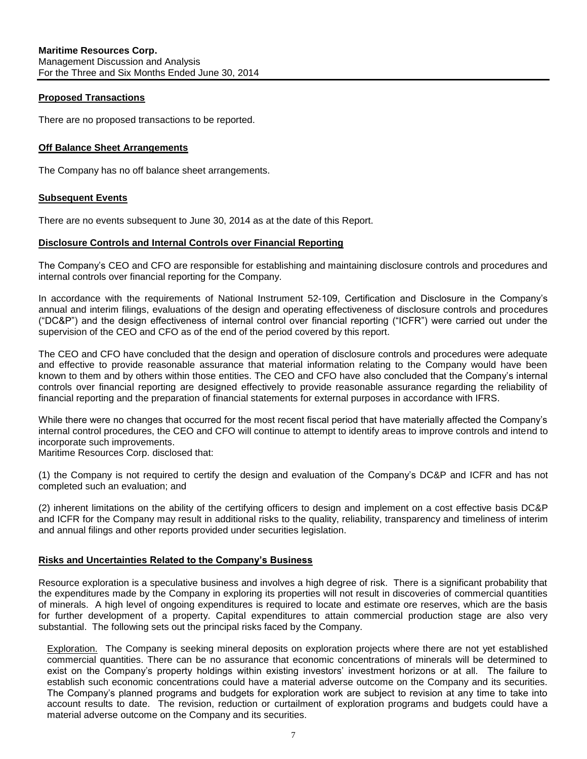## <span id="page-7-0"></span>**Proposed Transactions**

There are no proposed transactions to be reported.

## <span id="page-7-1"></span>**Off Balance Sheet Arrangements**

The Company has no off balance sheet arrangements.

## <span id="page-7-2"></span>**Subsequent Events**

<span id="page-7-3"></span>There are no events subsequent to June 30, 2014 as at the date of this Report.

## **Disclosure Controls and Internal Controls over Financial Reporting**

The Company's CEO and CFO are responsible for establishing and maintaining disclosure controls and procedures and internal controls over financial reporting for the Company.

In accordance with the requirements of National Instrument 52-109, Certification and Disclosure in the Company's annual and interim filings, evaluations of the design and operating effectiveness of disclosure controls and procedures ("DC&P") and the design effectiveness of internal control over financial reporting ("ICFR") were carried out under the supervision of the CEO and CFO as of the end of the period covered by this report.

The CEO and CFO have concluded that the design and operation of disclosure controls and procedures were adequate and effective to provide reasonable assurance that material information relating to the Company would have been known to them and by others within those entities. The CEO and CFO have also concluded that the Company's internal controls over financial reporting are designed effectively to provide reasonable assurance regarding the reliability of financial reporting and the preparation of financial statements for external purposes in accordance with IFRS.

While there were no changes that occurred for the most recent fiscal period that have materially affected the Company's internal control procedures, the CEO and CFO will continue to attempt to identify areas to improve controls and intend to incorporate such improvements.

Maritime Resources Corp. disclosed that:

(1) the Company is not required to certify the design and evaluation of the Company's DC&P and ICFR and has not completed such an evaluation; and

(2) inherent limitations on the ability of the certifying officers to design and implement on a cost effective basis DC&P and ICFR for the Company may result in additional risks to the quality, reliability, transparency and timeliness of interim and annual filings and other reports provided under securities legislation.

# <span id="page-7-4"></span>**Risks and Uncertainties Related to the Company's Business**

Resource exploration is a speculative business and involves a high degree of risk. There is a significant probability that the expenditures made by the Company in exploring its properties will not result in discoveries of commercial quantities of minerals. A high level of ongoing expenditures is required to locate and estimate ore reserves, which are the basis for further development of a property. Capital expenditures to attain commercial production stage are also very substantial. The following sets out the principal risks faced by the Company.

Exploration.The Company is seeking mineral deposits on exploration projects where there are not yet established commercial quantities. There can be no assurance that economic concentrations of minerals will be determined to exist on the Company's property holdings within existing investors' investment horizons or at all. The failure to establish such economic concentrations could have a material adverse outcome on the Company and its securities. The Company's planned programs and budgets for exploration work are subject to revision at any time to take into account results to date. The revision, reduction or curtailment of exploration programs and budgets could have a material adverse outcome on the Company and its securities.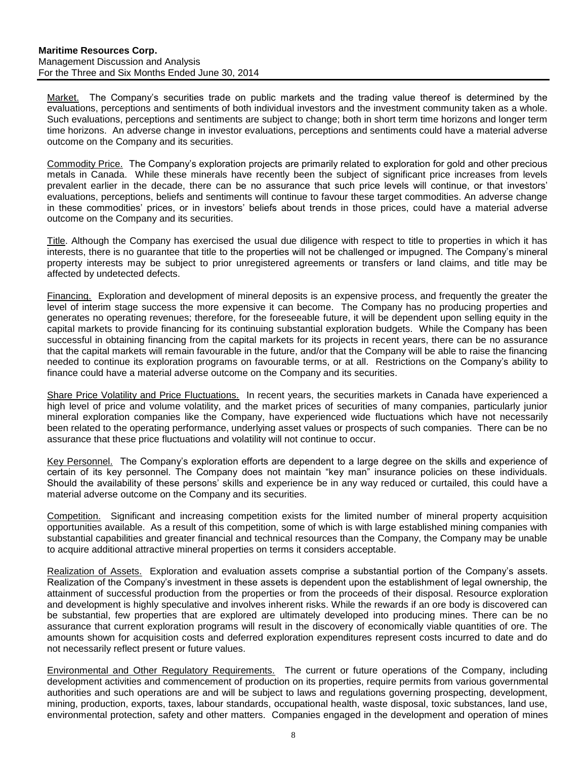#### **Maritime Resources Corp.** Management Discussion and Analysis For the Three and Six Months Ended June 30, 2014

Market.The Company's securities trade on public markets and the trading value thereof is determined by the evaluations, perceptions and sentiments of both individual investors and the investment community taken as a whole. Such evaluations, perceptions and sentiments are subject to change; both in short term time horizons and longer term time horizons. An adverse change in investor evaluations, perceptions and sentiments could have a material adverse outcome on the Company and its securities.

Commodity Price.The Company's exploration projects are primarily related to exploration for gold and other precious metals in Canada. While these minerals have recently been the subject of significant price increases from levels prevalent earlier in the decade, there can be no assurance that such price levels will continue, or that investors' evaluations, perceptions, beliefs and sentiments will continue to favour these target commodities. An adverse change in these commodities' prices, or in investors' beliefs about trends in those prices, could have a material adverse outcome on the Company and its securities.

Title. Although the Company has exercised the usual due diligence with respect to title to properties in which it has interests, there is no guarantee that title to the properties will not be challenged or impugned. The Company's mineral property interests may be subject to prior unregistered agreements or transfers or land claims, and title may be affected by undetected defects.

Financing.Exploration and development of mineral deposits is an expensive process, and frequently the greater the level of interim stage success the more expensive it can become. The Company has no producing properties and generates no operating revenues; therefore, for the foreseeable future, it will be dependent upon selling equity in the capital markets to provide financing for its continuing substantial exploration budgets. While the Company has been successful in obtaining financing from the capital markets for its projects in recent years, there can be no assurance that the capital markets will remain favourable in the future, and/or that the Company will be able to raise the financing needed to continue its exploration programs on favourable terms, or at all. Restrictions on the Company's ability to finance could have a material adverse outcome on the Company and its securities.

Share Price Volatility and Price Fluctuations.In recent years, the securities markets in Canada have experienced a high level of price and volume volatility, and the market prices of securities of many companies, particularly junior mineral exploration companies like the Company, have experienced wide fluctuations which have not necessarily been related to the operating performance, underlying asset values or prospects of such companies. There can be no assurance that these price fluctuations and volatility will not continue to occur.

Key Personnel. The Company's exploration efforts are dependent to a large degree on the skills and experience of certain of its key personnel. The Company does not maintain "key man" insurance policies on these individuals. Should the availability of these persons' skills and experience be in any way reduced or curtailed, this could have a material adverse outcome on the Company and its securities.

Competition.Significant and increasing competition exists for the limited number of mineral property acquisition opportunities available. As a result of this competition, some of which is with large established mining companies with substantial capabilities and greater financial and technical resources than the Company, the Company may be unable to acquire additional attractive mineral properties on terms it considers acceptable.

Realization of Assets. Exploration and evaluation assets comprise a substantial portion of the Company's assets. Realization of the Company's investment in these assets is dependent upon the establishment of legal ownership, the attainment of successful production from the properties or from the proceeds of their disposal. Resource exploration and development is highly speculative and involves inherent risks. While the rewards if an ore body is discovered can be substantial, few properties that are explored are ultimately developed into producing mines. There can be no assurance that current exploration programs will result in the discovery of economically viable quantities of ore. The amounts shown for acquisition costs and deferred exploration expenditures represent costs incurred to date and do not necessarily reflect present or future values.

Environmental and Other Regulatory Requirements.The current or future operations of the Company, including development activities and commencement of production on its properties, require permits from various governmental authorities and such operations are and will be subject to laws and regulations governing prospecting, development, mining, production, exports, taxes, labour standards, occupational health, waste disposal, toxic substances, land use, environmental protection, safety and other matters. Companies engaged in the development and operation of mines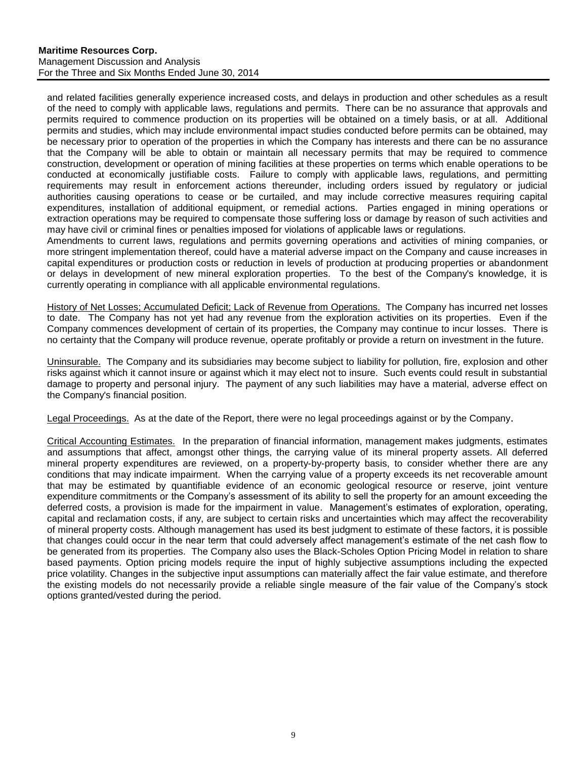and related facilities generally experience increased costs, and delays in production and other schedules as a result of the need to comply with applicable laws, regulations and permits. There can be no assurance that approvals and permits required to commence production on its properties will be obtained on a timely basis, or at all. Additional permits and studies, which may include environmental impact studies conducted before permits can be obtained, may be necessary prior to operation of the properties in which the Company has interests and there can be no assurance that the Company will be able to obtain or maintain all necessary permits that may be required to commence construction, development or operation of mining facilities at these properties on terms which enable operations to be conducted at economically justifiable costs. Failure to comply with applicable laws, regulations, and permitting requirements may result in enforcement actions thereunder, including orders issued by regulatory or judicial authorities causing operations to cease or be curtailed, and may include corrective measures requiring capital expenditures, installation of additional equipment, or remedial actions. Parties engaged in mining operations or extraction operations may be required to compensate those suffering loss or damage by reason of such activities and may have civil or criminal fines or penalties imposed for violations of applicable laws or regulations.

Amendments to current laws, regulations and permits governing operations and activities of mining companies, or more stringent implementation thereof, could have a material adverse impact on the Company and cause increases in capital expenditures or production costs or reduction in levels of production at producing properties or abandonment or delays in development of new mineral exploration properties. To the best of the Company's knowledge, it is currently operating in compliance with all applicable environmental regulations.

History of Net Losses; Accumulated Deficit; Lack of Revenue from Operations. The Company has incurred net losses to date. The Company has not yet had any revenue from the exploration activities on its properties. Even if the Company commences development of certain of its properties, the Company may continue to incur losses. There is no certainty that the Company will produce revenue, operate profitably or provide a return on investment in the future.

Uninsurable. The Company and its subsidiaries may become subject to liability for pollution, fire, explosion and other risks against which it cannot insure or against which it may elect not to insure. Such events could result in substantial damage to property and personal injury. The payment of any such liabilities may have a material, adverse effect on the Company's financial position.

Legal Proceedings. As at the date of the Report, there were no legal proceedings against or by the Company.

<span id="page-9-0"></span>Critical Accounting Estimates.In the preparation of financial information, management makes judgments, estimates and assumptions that affect, amongst other things, the carrying value of its mineral property assets. All deferred mineral property expenditures are reviewed, on a property-by-property basis, to consider whether there are any conditions that may indicate impairment. When the carrying value of a property exceeds its net recoverable amount that may be estimated by quantifiable evidence of an economic geological resource or reserve, joint venture expenditure commitments or the Company's assessment of its ability to sell the property for an amount exceeding the deferred costs, a provision is made for the impairment in value. Management's estimates of exploration, operating, capital and reclamation costs, if any, are subject to certain risks and uncertainties which may affect the recoverability of mineral property costs. Although management has used its best judgment to estimate of these factors, it is possible that changes could occur in the near term that could adversely affect management's estimate of the net cash flow to be generated from its properties. The Company also uses the Black-Scholes Option Pricing Model in relation to share based payments. Option pricing models require the input of highly subjective assumptions including the expected price volatility. Changes in the subjective input assumptions can materially affect the fair value estimate, and therefore the existing models do not necessarily provide a reliable single measure of the fair value of the Company's stock options granted/vested during the period.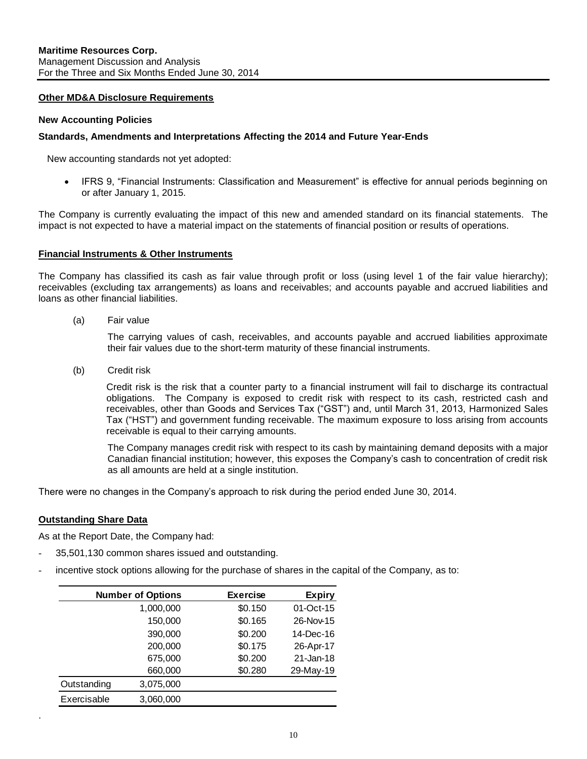#### **Other MD&A Disclosure Requirements**

#### **New Accounting Policies**

#### **Standards, Amendments and Interpretations Affecting the 2014 and Future Year-Ends**

New accounting standards not yet adopted:

• IFRS 9, "Financial Instruments: Classification and Measurement" is effective for annual periods beginning on or after January 1, 2015.

The Company is currently evaluating the impact of this new and amended standard on its financial statements. The impact is not expected to have a material impact on the statements of financial position or results of operations.

#### **Financial Instruments & Other Instruments**

The Company has classified its cash as fair value through profit or loss (using level 1 of the fair value hierarchy); receivables (excluding tax arrangements) as loans and receivables; and accounts payable and accrued liabilities and loans as other financial liabilities.

(a) Fair value

The carrying values of cash, receivables, and accounts payable and accrued liabilities approximate their fair values due to the short-term maturity of these financial instruments.

(b) Credit risk

Credit risk is the risk that a counter party to a financial instrument will fail to discharge its contractual obligations. The Company is exposed to credit risk with respect to its cash, restricted cash and receivables, other than Goods and Services Tax ("GST") and, until March 31, 2013, Harmonized Sales Tax ("HST") and government funding receivable. The maximum exposure to loss arising from accounts receivable is equal to their carrying amounts.

The Company manages credit risk with respect to its cash by maintaining demand deposits with a major Canadian financial institution; however, this exposes the Company's cash to concentration of credit risk as all amounts are held at a single institution.

There were no changes in the Company's approach to risk during the period ended June 30, 2014.

#### **Outstanding Share Data**

.

As at the Report Date, the Company had:

- 35,501,130 common shares issued and outstanding.
- incentive stock options allowing for the purchase of shares in the capital of the Company, as to:

|             | <b>Number of Options</b> | <b>Exercise</b> | <b>Expiry</b> |
|-------------|--------------------------|-----------------|---------------|
|             | 1,000,000                | \$0.150         | 01-Oct-15     |
|             | 150,000                  | \$0.165         | 26-Nov-15     |
|             | 390,000                  | \$0.200         | 14-Dec-16     |
|             | 200,000                  | \$0.175         | 26-Apr-17     |
|             | 675,000                  | \$0.200         | 21-Jan-18     |
|             | 660,000                  | \$0.280         | 29-May-19     |
| Outstanding | 3,075,000                |                 |               |
| Exercisable | 3,060,000                |                 |               |